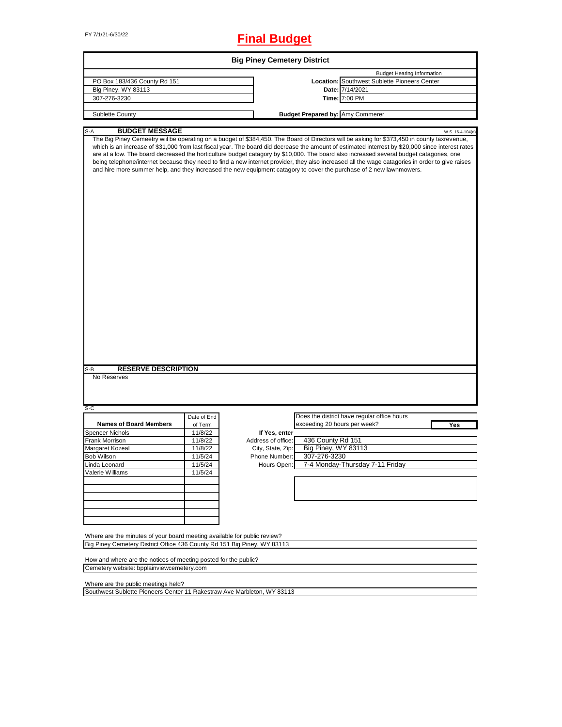# FY 7/1/21-6/30/22 **Final Budget**

| PO Box 183/436 County Rd 151<br>Big Piney, WY 83113<br>307-276-3230<br>Sublette County<br><b>BUDGET MESSAGE</b><br>S-A<br><b>RESERVE DESCRIPTION</b><br>S-B<br>No Reserves<br>S-C<br>Date of End<br><b>Names of Board Members</b><br>of Term<br><b>Spencer Nichols</b><br>11/8/22<br>Frank Morrison<br>11/8/22<br>Margaret Kozeal<br>11/8/22<br>11/5/24<br>Bob Wilson<br>Linda Leonard<br>11/5/24<br>Valerie Williams<br>11/5/24 | <b>Budget Hearing Information</b><br>Location: Southwest Sublette Pioneers Center<br>Date: 7/14/2021<br>Time: 7:00 PM<br><b>Budget Prepared by: Amy Commerer</b><br>W.S. 16-4-104(d)<br>The Big Piney Cemeetry wiil be operating on a budget of \$384,450. The Board of Directors will be asking for \$373,450 in county taxrevenue,                                                                                                                                                                                                                                   |  |  |  |  |  |  |  |
|----------------------------------------------------------------------------------------------------------------------------------------------------------------------------------------------------------------------------------------------------------------------------------------------------------------------------------------------------------------------------------------------------------------------------------|------------------------------------------------------------------------------------------------------------------------------------------------------------------------------------------------------------------------------------------------------------------------------------------------------------------------------------------------------------------------------------------------------------------------------------------------------------------------------------------------------------------------------------------------------------------------|--|--|--|--|--|--|--|
|                                                                                                                                                                                                                                                                                                                                                                                                                                  |                                                                                                                                                                                                                                                                                                                                                                                                                                                                                                                                                                        |  |  |  |  |  |  |  |
|                                                                                                                                                                                                                                                                                                                                                                                                                                  |                                                                                                                                                                                                                                                                                                                                                                                                                                                                                                                                                                        |  |  |  |  |  |  |  |
|                                                                                                                                                                                                                                                                                                                                                                                                                                  |                                                                                                                                                                                                                                                                                                                                                                                                                                                                                                                                                                        |  |  |  |  |  |  |  |
|                                                                                                                                                                                                                                                                                                                                                                                                                                  |                                                                                                                                                                                                                                                                                                                                                                                                                                                                                                                                                                        |  |  |  |  |  |  |  |
|                                                                                                                                                                                                                                                                                                                                                                                                                                  |                                                                                                                                                                                                                                                                                                                                                                                                                                                                                                                                                                        |  |  |  |  |  |  |  |
|                                                                                                                                                                                                                                                                                                                                                                                                                                  |                                                                                                                                                                                                                                                                                                                                                                                                                                                                                                                                                                        |  |  |  |  |  |  |  |
|                                                                                                                                                                                                                                                                                                                                                                                                                                  |                                                                                                                                                                                                                                                                                                                                                                                                                                                                                                                                                                        |  |  |  |  |  |  |  |
|                                                                                                                                                                                                                                                                                                                                                                                                                                  | which is an increase of \$31,000 from last fiscal year. The board did decrease the amount of estimated interrest by \$20,000 since interest rates<br>are at a low. The board decreased the horticulture budget catagory by \$10,000. The board also increased several budget catagories, one<br>being telephone/internet because they need to find a new internet provider, they also increased all the wage catagories in order to give raises<br>and hire more summer help, and they increased the new equipment catagory to cover the purchase of 2 new lawnmowers. |  |  |  |  |  |  |  |
|                                                                                                                                                                                                                                                                                                                                                                                                                                  |                                                                                                                                                                                                                                                                                                                                                                                                                                                                                                                                                                        |  |  |  |  |  |  |  |
|                                                                                                                                                                                                                                                                                                                                                                                                                                  |                                                                                                                                                                                                                                                                                                                                                                                                                                                                                                                                                                        |  |  |  |  |  |  |  |
|                                                                                                                                                                                                                                                                                                                                                                                                                                  | Does the district have regular office hours                                                                                                                                                                                                                                                                                                                                                                                                                                                                                                                            |  |  |  |  |  |  |  |
|                                                                                                                                                                                                                                                                                                                                                                                                                                  | exceeding 20 hours per week?<br>Yes                                                                                                                                                                                                                                                                                                                                                                                                                                                                                                                                    |  |  |  |  |  |  |  |
|                                                                                                                                                                                                                                                                                                                                                                                                                                  | If Yes, enter                                                                                                                                                                                                                                                                                                                                                                                                                                                                                                                                                          |  |  |  |  |  |  |  |
|                                                                                                                                                                                                                                                                                                                                                                                                                                  | 436 County Rd 151<br>Address of office:                                                                                                                                                                                                                                                                                                                                                                                                                                                                                                                                |  |  |  |  |  |  |  |
|                                                                                                                                                                                                                                                                                                                                                                                                                                  | Big Piney, WY 83113<br>City, State, Zip:                                                                                                                                                                                                                                                                                                                                                                                                                                                                                                                               |  |  |  |  |  |  |  |
|                                                                                                                                                                                                                                                                                                                                                                                                                                  | 307-276-3230<br>Phone Number:                                                                                                                                                                                                                                                                                                                                                                                                                                                                                                                                          |  |  |  |  |  |  |  |
|                                                                                                                                                                                                                                                                                                                                                                                                                                  | Hours Open:<br>7-4 Monday-Thursday 7-11 Friday                                                                                                                                                                                                                                                                                                                                                                                                                                                                                                                         |  |  |  |  |  |  |  |
|                                                                                                                                                                                                                                                                                                                                                                                                                                  |                                                                                                                                                                                                                                                                                                                                                                                                                                                                                                                                                                        |  |  |  |  |  |  |  |
|                                                                                                                                                                                                                                                                                                                                                                                                                                  |                                                                                                                                                                                                                                                                                                                                                                                                                                                                                                                                                                        |  |  |  |  |  |  |  |
|                                                                                                                                                                                                                                                                                                                                                                                                                                  |                                                                                                                                                                                                                                                                                                                                                                                                                                                                                                                                                                        |  |  |  |  |  |  |  |
| Where are the minutes of your board meeting available for public review?<br>Big Piney Cemetery District Office 436 County Rd 151 Big Piney, WY 83113                                                                                                                                                                                                                                                                             |                                                                                                                                                                                                                                                                                                                                                                                                                                                                                                                                                                        |  |  |  |  |  |  |  |
| How and where are the notices of meeting posted for the public?<br>Cemetery website: bpplainviewcemetery.com                                                                                                                                                                                                                                                                                                                     |                                                                                                                                                                                                                                                                                                                                                                                                                                                                                                                                                                        |  |  |  |  |  |  |  |

 $\overline{\phantom{a}}$ 

Southwest Sublette Pioneers Center 11 Rakestraw Ave Marbleton, WY 83113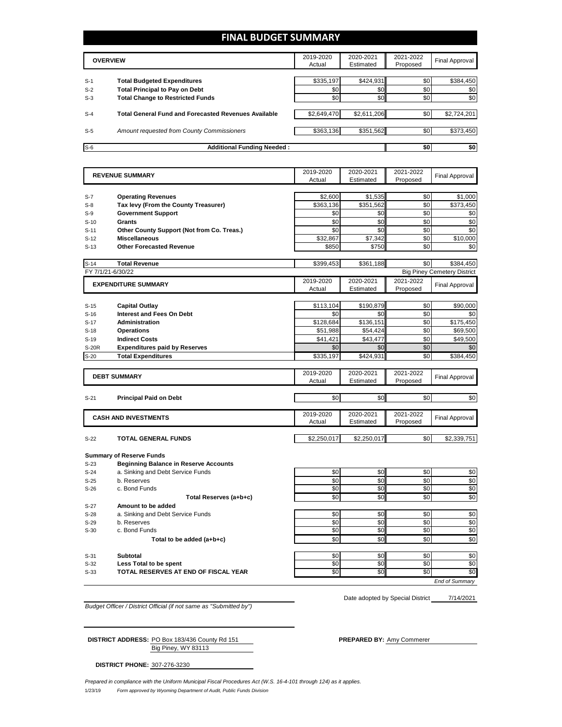## **FINAL BUDGET SUMMARY**

|                | <b>OVERVIEW</b>                                                             | 2019-2020<br>Actual | 2020-2021<br>Estimated | 2021-2022<br>Proposed | Final Approval   |
|----------------|-----------------------------------------------------------------------------|---------------------|------------------------|-----------------------|------------------|
|                |                                                                             |                     |                        |                       |                  |
| $S-1$<br>$S-2$ | <b>Total Budgeted Expenditures</b><br><b>Total Principal to Pay on Debt</b> | \$335,197<br>\$0    | \$424,931<br>\$0       | \$0<br>\$0            | \$384,450<br>\$0 |
| $S-3$          | <b>Total Change to Restricted Funds</b>                                     | \$0                 | \$0                    | \$0                   | \$0              |
| $S-4$          | <b>Total General Fund and Forecasted Revenues Available</b>                 | \$2,649,470         | \$2,611,206            | \$0                   | \$2,724,201      |
| $S-5$          | Amount requested from County Commissioners                                  | \$363,136           | \$351,562              | \$0                   | \$373,450        |
| $S-6$          | <b>Additional Funding Needed:</b>                                           |                     |                        | \$0                   | \$0              |

|                   | <b>REVENUE SUMMARY</b>                       | 2019-2020       | 2020-2021       | 2021-2022 | <b>Final Approval</b>              |  |  |
|-------------------|----------------------------------------------|-----------------|-----------------|-----------|------------------------------------|--|--|
|                   |                                              | Actual          | Estimated       | Proposed  |                                    |  |  |
|                   |                                              |                 |                 |           |                                    |  |  |
| $S-7$             | <b>Operating Revenues</b>                    | \$2,600         | \$1,535         | \$0       | \$1,000                            |  |  |
| $S-8$             | Tax levy (From the County Treasurer)         | \$363,136       | \$351,562       | \$0       | \$373,450                          |  |  |
| $S-9$             | <b>Government Support</b>                    | \$0             | \$0             | \$0       | \$0                                |  |  |
| $S-10$            | <b>Grants</b>                                | \$0             | \$0             | \$0       | \$0                                |  |  |
| $S-11$            | Other County Support (Not from Co. Treas.)   | \$0             | \$0             | \$0       | \$0                                |  |  |
| $S-12$            | <b>Miscellaneous</b>                         | \$32,867        | \$7,342         | \$0       | \$10,000                           |  |  |
| $S-13$            | <b>Other Forecasted Revenue</b>              | \$850           | \$750           | \$0       | \$0                                |  |  |
|                   |                                              |                 |                 |           |                                    |  |  |
| $S-14$            | <b>Total Revenue</b>                         | \$399,453       | \$361,188       | \$0       | \$384,450                          |  |  |
| FY 7/1/21-6/30/22 |                                              |                 |                 |           | <b>Big Piney Cemetery District</b> |  |  |
|                   | <b>EXPENDITURE SUMMARY</b>                   | 2019-2020       | 2020-2021       | 2021-2022 | Final Approval                     |  |  |
|                   |                                              | Actual          | Estimated       | Proposed  |                                    |  |  |
|                   |                                              |                 |                 |           |                                    |  |  |
| $S-15$            | <b>Capital Outlay</b>                        | \$113,104       | \$190,879       | \$0       | \$90,000                           |  |  |
| $S-16$            | <b>Interest and Fees On Debt</b>             | \$0             | \$0             | \$0       | \$0                                |  |  |
| $S-17$            | <b>Administration</b>                        | \$128,684       | \$136,151       | \$0       | \$175,450                          |  |  |
| $S-18$            | <b>Operations</b>                            | \$51,988        | \$54,424        | \$0       | \$69,500                           |  |  |
| $S-19$            | <b>Indirect Costs</b>                        | \$41.421        | \$43.477        | \$0       | \$49.500                           |  |  |
| <b>S-20R</b>      | <b>Expenditures paid by Reserves</b>         | \$0             | \$0             | \$0       | \$0                                |  |  |
| $S-20$            | <b>Total Expenditures</b>                    | \$335,197       | \$424,931       | \$0       | \$384,450                          |  |  |
|                   |                                              |                 |                 |           |                                    |  |  |
|                   | <b>DEBT SUMMARY</b>                          | 2019-2020       | 2020-2021       | 2021-2022 | <b>Final Approval</b>              |  |  |
|                   |                                              | Actual          | Estimated       | Proposed  |                                    |  |  |
|                   |                                              |                 |                 |           |                                    |  |  |
| $S-21$            | <b>Principal Paid on Debt</b>                | \$0             | \$0             | \$0       | \$0                                |  |  |
|                   |                                              |                 |                 |           |                                    |  |  |
|                   |                                              |                 |                 |           |                                    |  |  |
|                   |                                              | 2019-2020       | 2020-2021       | 2021-2022 |                                    |  |  |
|                   | <b>CASH AND INVESTMENTS</b>                  | Actual          | Estimated       | Proposed  | Final Approval                     |  |  |
|                   |                                              |                 |                 |           |                                    |  |  |
| $S-22$            | <b>TOTAL GENERAL FUNDS</b>                   | \$2,250,017     | \$2,250,017     | \$0       | \$2,339,751                        |  |  |
|                   |                                              |                 |                 |           |                                    |  |  |
|                   | <b>Summary of Reserve Funds</b>              |                 |                 |           |                                    |  |  |
| $S-23$            | <b>Beginning Balance in Reserve Accounts</b> |                 |                 |           |                                    |  |  |
| S-24              | a. Sinking and Debt Service Funds            | \$0             | \$0             | \$0       | \$0                                |  |  |
| $S-25$            | b. Reserves                                  | \$0             | \$0             | \$0       | \$0                                |  |  |
| $S-26$            | c. Bond Funds                                | \$0             | \$0             | \$0       | \$0                                |  |  |
|                   | Total Reserves (a+b+c)                       | \$0             | \$0             | \$0       | \$0                                |  |  |
| $S-27$            | Amount to be added                           |                 |                 |           |                                    |  |  |
| $S-28$            | a. Sinking and Debt Service Funds            | \$0             | \$0             | \$0       |                                    |  |  |
| $S-29$            | b. Reserves                                  | \$0             | \$0             | \$0       | \$0<br>\$0                         |  |  |
| $S-30$            | c. Bond Funds                                | \$0             | \$0             | \$0       | \$0                                |  |  |
|                   | Total to be added (a+b+c)                    | \$0             | \$0             | \$0       |                                    |  |  |
|                   |                                              |                 |                 |           |                                    |  |  |
| $S-31$            | <b>Subtotal</b>                              | \$0             | \$0             | \$0       |                                    |  |  |
| $S-32$            | Less Total to be spent                       | \$0             | \$0             | \$0       | \$0<br>\$0<br>\$0                  |  |  |
| $S-33$            | TOTAL RESERVES AT END OF FISCAL YEAR         | $\overline{50}$ | $\overline{50}$ | \$0       | \$0                                |  |  |

*Budget Officer / District Official (if not same as "Submitted by")*

7/14/2021 Date adopted by Special District

Big Piney, WY 83113 **DISTRICT ADDRESS:** PO Box 183/436 County Rd 151 **PREPARED BY:** Amy Commerer

**DISTRICT PHONE:** 307-276-3230

1/23/19 *Form approved by Wyoming Department of Audit, Public Funds Division Prepared in compliance with the Uniform Municipal Fiscal Procedures Act (W.S. 16-4-101 through 124) as it applies.*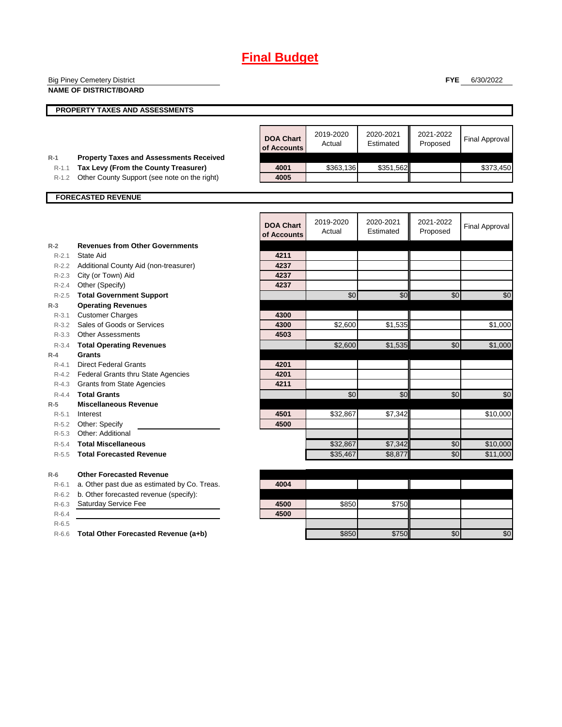|           | <b>Big Piney Cemetery District</b>                                            |                  |           |           | <b>FYE</b> | 6/30/2022             |
|-----------|-------------------------------------------------------------------------------|------------------|-----------|-----------|------------|-----------------------|
|           | <b>NAME OF DISTRICT/BOARD</b>                                                 |                  |           |           |            |                       |
|           |                                                                               |                  |           |           |            |                       |
|           | PROPERTY TAXES AND ASSESSMENTS                                                |                  |           |           |            |                       |
|           |                                                                               |                  |           |           |            |                       |
|           |                                                                               | <b>DOA Chart</b> | 2019-2020 | 2020-2021 | 2021-2022  | <b>Final Approval</b> |
|           |                                                                               | of Accounts      | Actual    | Estimated | Proposed   |                       |
| R-1       | <b>Property Taxes and Assessments Received</b>                                |                  |           |           |            |                       |
| $R-1.1$   | Tax Levy (From the County Treasurer)                                          | 4001             | \$363,136 | \$351,562 |            | \$373,450             |
| $R-1.2$   | Other County Support (see note on the right)                                  | 4005             |           |           |            |                       |
|           |                                                                               |                  |           |           |            |                       |
|           | <b>FORECASTED REVENUE</b>                                                     |                  |           |           |            |                       |
|           |                                                                               |                  |           |           |            |                       |
|           |                                                                               | <b>DOA Chart</b> | 2019-2020 | 2020-2021 | 2021-2022  | <b>Final Approval</b> |
|           |                                                                               | of Accounts      | Actual    | Estimated | Proposed   |                       |
| $R-2$     | <b>Revenues from Other Governments</b>                                        |                  |           |           |            |                       |
| $R-2.1$   | State Aid                                                                     | 4211             |           |           |            |                       |
| $R - 2.2$ | Additional County Aid (non-treasurer)                                         | 4237             |           |           |            |                       |
| $R-2.3$   | City (or Town) Aid                                                            | 4237             |           |           |            |                       |
| $R - 2.4$ | Other (Specify)                                                               | 4237             |           |           |            |                       |
| $R-2.5$   | <b>Total Government Support</b>                                               |                  | \$0       | \$0       | \$0        | \$0                   |
| $R-3$     | <b>Operating Revenues</b>                                                     |                  |           |           |            |                       |
| $R-3.1$   | <b>Customer Charges</b>                                                       | 4300             |           |           |            |                       |
| $R - 3.2$ | Sales of Goods or Services                                                    | 4300             | \$2,600   | \$1,535   |            | \$1,000               |
| $R - 3.3$ | <b>Other Assessments</b>                                                      | 4503             |           |           |            |                       |
| $R - 3.4$ | <b>Total Operating Revenues</b>                                               |                  | \$2,600   | \$1,535   | \$0        | \$1,000               |
| $R-4$     | Grants                                                                        |                  |           |           |            |                       |
| $R - 4.1$ | <b>Direct Federal Grants</b>                                                  | 4201<br>4201     |           |           |            |                       |
| R-4.3     | R-4.2 Federal Grants thru State Agencies<br><b>Grants from State Agencies</b> | 4211             |           |           |            |                       |
| $R - 4.4$ | <b>Total Grants</b>                                                           |                  | \$0       | \$0       | \$0        | \$0                   |
| $R-5$     | <b>Miscellaneous Revenue</b>                                                  |                  |           |           |            |                       |
| $R-5.1$   | Interest                                                                      | 4501             | \$32,867  | \$7,342   |            | \$10,000              |
| $R-5.2$   | Other: Specify                                                                | 4500             |           |           |            |                       |
| $R - 5.3$ | Other: Additional                                                             |                  |           |           |            |                       |
| $R-5.4$   | <b>Total Miscellaneous</b>                                                    |                  | \$32,867  | \$7,342   | \$0        | \$10,000              |
| $R - 5.5$ | <b>Total Forecasted Revenue</b>                                               |                  | \$35,467  | \$8,877   | \$0        | \$11,000              |
| R-6       | <b>Other Forecasted Revenue</b>                                               |                  |           |           |            |                       |
| $R-6.1$   | a. Other past due as estimated by Co. Treas.                                  | 4004             |           |           |            |                       |
| $R-6.2$   | b. Other forecasted revenue (specify):                                        |                  |           |           |            |                       |
| $R-6.3$   | Saturday Service Fee                                                          | 4500             | \$850     | \$750     |            |                       |
| $R-6.4$   |                                                                               | 4500             |           |           |            |                       |
| $R-6.5$   |                                                                               |                  |           |           |            |                       |
|           | R-6.6 Total Other Forecasted Revenue (a+b)                                    |                  | \$850     | \$750     | \$0        | \$0                   |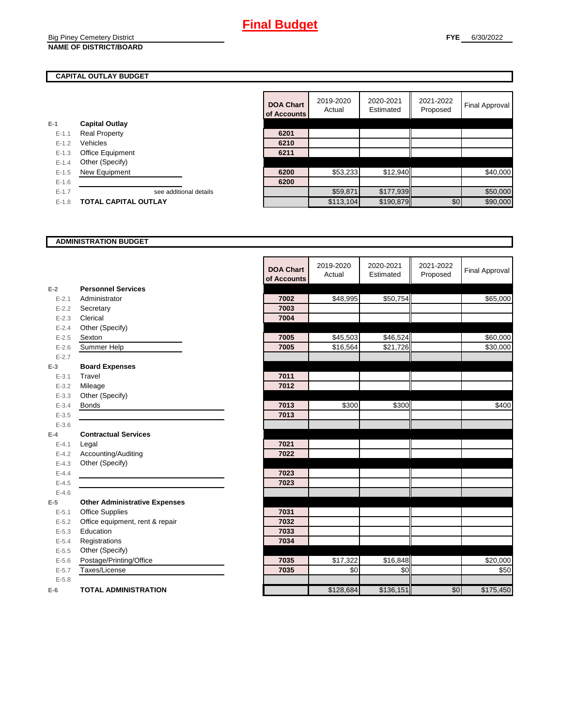## **CAPITAL OUTLAY BUDGET**

|           |                         | ui ruuul |
|-----------|-------------------------|----------|
| E-1       | <b>Capital Outlay</b>   |          |
| $E - 1.1$ | <b>Real Property</b>    | 6201     |
| $E - 1.2$ | Vehicles                | 6210     |
| $E-1.3$   | <b>Office Equipment</b> | 6211     |
| $E - 1.4$ | Other (Specify)         |          |
| $E-1.5$   | New Equipment           | 6200     |
| $E - 1.6$ |                         | 6200     |
| $E - 1.7$ | see additional details  |          |
| $E - 1.8$ | TOTAL CAPITAL OUTLAY    |          |
|           |                         |          |

|           |                             | <b>DOA Chart</b><br>of Accounts | 2019-2020<br>Actual | 2020-2021<br>Estimated | 2021-2022<br>Proposed | Final Approval |
|-----------|-----------------------------|---------------------------------|---------------------|------------------------|-----------------------|----------------|
|           | <b>Capital Outlay</b>       |                                 |                     |                        |                       |                |
| $E - 1.1$ | <b>Real Property</b>        | 6201                            |                     |                        |                       |                |
| $E - 1.2$ | Vehicles                    | 6210                            |                     |                        |                       |                |
| $E-1.3$   | Office Equipment            | 6211                            |                     |                        |                       |                |
| $E - 1.4$ | Other (Specify)             |                                 |                     |                        |                       |                |
| $E-1.5$   | New Equipment               | 6200                            | \$53,233            | \$12,940               |                       | \$40,000       |
| $E - 1.6$ |                             | 6200                            |                     |                        |                       |                |
| $E - 1.7$ | see additional details      |                                 | \$59,871            | \$177,939              |                       | \$50,000       |
| $E-1.8$   | <b>TOTAL CAPITAL OUTLAY</b> |                                 | \$113,104           | \$190,879              | \$0                   | \$90,000       |

## **ADMINISTRATION BUDGET**

|           |                                      | <b>DOA Chart</b><br>of Accounts | 2019-2020<br>Actual | 2020-2021<br>Estimated | 2021-2022<br>Proposed | <b>Final Approval</b> |
|-----------|--------------------------------------|---------------------------------|---------------------|------------------------|-----------------------|-----------------------|
| $E-2$     | <b>Personnel Services</b>            |                                 |                     |                        |                       |                       |
| $E - 2.1$ | Administrator                        | 7002                            | \$48,995            | \$50,754               |                       | \$65,000              |
| $E - 2.2$ | Secretary                            | 7003                            |                     |                        |                       |                       |
| $E - 2.3$ | Clerical                             | 7004                            |                     |                        |                       |                       |
| $E - 2.4$ | Other (Specify)                      |                                 |                     |                        |                       |                       |
| $E - 2.5$ | Sexton                               | 7005                            | \$45,503            | \$46,524               |                       | \$60,000              |
| $E - 2.6$ | Summer Help                          | 7005                            | \$16,564            | \$21,726               |                       | \$30,000              |
| $E - 2.7$ |                                      |                                 |                     |                        |                       |                       |
| $E-3$     | <b>Board Expenses</b>                |                                 |                     |                        |                       |                       |
| $E - 3.1$ | Travel                               | 7011                            |                     |                        |                       |                       |
| $E - 3.2$ | Mileage                              | 7012                            |                     |                        |                       |                       |
| $E - 3.3$ | Other (Specify)                      |                                 |                     |                        |                       |                       |
| $E - 3.4$ | <b>Bonds</b>                         | 7013                            | \$300               | \$300                  |                       | \$400                 |
| $E - 3.5$ |                                      | 7013                            |                     |                        |                       |                       |
| $E - 3.6$ |                                      |                                 |                     |                        |                       |                       |
| $E-4$     | <b>Contractual Services</b>          |                                 |                     |                        |                       |                       |
| $E - 4.1$ | Legal                                | 7021                            |                     |                        |                       |                       |
| $E-4.2$   | Accounting/Auditing                  | 7022                            |                     |                        |                       |                       |
| $E - 4.3$ | Other (Specify)                      |                                 |                     |                        |                       |                       |
| $E - 4.4$ |                                      | 7023                            |                     |                        |                       |                       |
| $E-4.5$   |                                      | 7023                            |                     |                        |                       |                       |
| $E-4.6$   |                                      |                                 |                     |                        |                       |                       |
| $E-5$     | <b>Other Administrative Expenses</b> |                                 |                     |                        |                       |                       |
| $E - 5.1$ | <b>Office Supplies</b>               | 7031                            |                     |                        |                       |                       |
| $E - 5.2$ | Office equipment, rent & repair      | 7032                            |                     |                        |                       |                       |
| $E - 5.3$ | Education                            | 7033                            |                     |                        |                       |                       |
| $E - 5.4$ | Registrations                        | 7034                            |                     |                        |                       |                       |
| $E-5.5$   | Other (Specify)                      |                                 |                     |                        |                       |                       |
| $E - 5.6$ | Postage/Printing/Office              | 7035                            | \$17,322            | \$16,848               |                       | \$20,000              |
| $E - 5.7$ | Taxes/License                        | 7035                            | \$0                 | \$0                    |                       | \$50                  |
| $E - 5.8$ |                                      |                                 |                     |                        |                       |                       |
| $E-6$     | <b>TOTAL ADMINISTRATION</b>          |                                 | \$128,684           | \$136,151              | \$0                   | \$175,450             |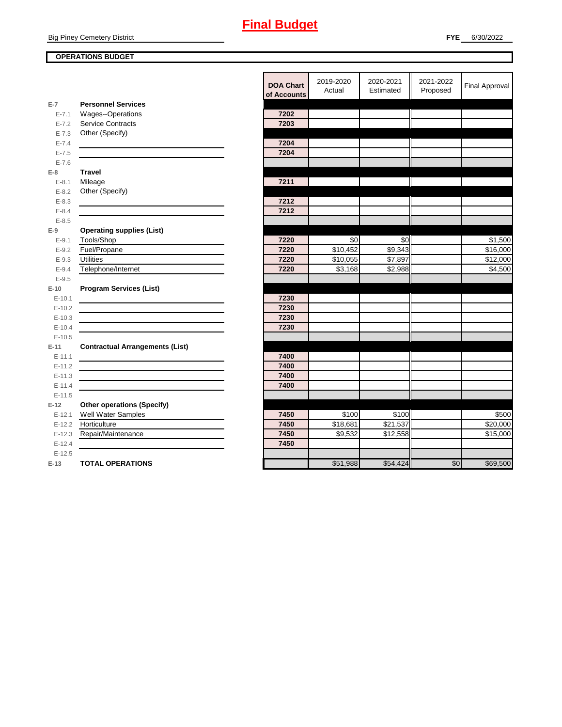**Big Piney Cemetery District** 

## **OPERATIONS BUDGET**

|                    |                                                | <b>DOA Chart</b><br>of Accounts | 2019-2020<br>Actual | 2020-2021<br>Estimated | 2021-2022<br>Proposed | <b>Final Approval</b> |
|--------------------|------------------------------------------------|---------------------------------|---------------------|------------------------|-----------------------|-----------------------|
| $E-7$              | <b>Personnel Services</b>                      |                                 |                     |                        |                       |                       |
| $E - 7.1$          | Wages--Operations                              | 7202                            |                     |                        |                       |                       |
| $E - 7.2$          | <b>Service Contracts</b>                       | 7203                            |                     |                        |                       |                       |
| $E - 7.3$          | Other (Specify)                                |                                 |                     |                        |                       |                       |
| $E - 7.4$          |                                                | 7204                            |                     |                        |                       |                       |
| $E - 7.5$          |                                                | 7204                            |                     |                        |                       |                       |
| $E - 7.6$          |                                                |                                 |                     |                        |                       |                       |
| $E-8$              | <b>Travel</b>                                  |                                 |                     |                        |                       |                       |
| $E - 8.1$          | Mileage                                        | 7211                            |                     |                        |                       |                       |
| $E - 8.2$          | Other (Specify)                                |                                 |                     |                        |                       |                       |
| $E - 8.3$          |                                                | 7212                            |                     |                        |                       |                       |
| $E - 8.4$          |                                                | 7212                            |                     |                        |                       |                       |
| $E - 8.5$<br>$E-9$ |                                                |                                 |                     |                        |                       |                       |
| $E - 9.1$          | <b>Operating supplies (List)</b><br>Tools/Shop | 7220                            | \$0                 | \$0                    |                       | \$1,500               |
| $E - 9.2$          | Fuel/Propane                                   | 7220                            | \$10,452            | \$9,343                |                       | $\overline{$}16,000$  |
| $E - 9.3$          | Utilities                                      | 7220                            | \$10.055            | \$7,897                |                       | \$12,000              |
| $E - 9.4$          | Telephone/Internet                             | 7220                            | \$3,168             | \$2,988                |                       | \$4,500               |
| $E - 9.5$          |                                                |                                 |                     |                        |                       |                       |
| $E-10$             | <b>Program Services (List)</b>                 |                                 |                     |                        |                       |                       |
| $E-10.1$           |                                                | 7230                            |                     |                        |                       |                       |
| $E-10.2$           |                                                | 7230                            |                     |                        |                       |                       |
| $E-10.3$           |                                                | 7230                            |                     |                        |                       |                       |
| $E-10.4$           |                                                | 7230                            |                     |                        |                       |                       |
| $E-10.5$           |                                                |                                 |                     |                        |                       |                       |
| $E-11$             | <b>Contractual Arrangements (List)</b>         |                                 |                     |                        |                       |                       |
| $E-11.1$           |                                                | 7400                            |                     |                        |                       |                       |
| $E-11.2$           |                                                | 7400                            |                     |                        |                       |                       |
| $E-11.3$           |                                                | 7400                            |                     |                        |                       |                       |
| $E-11.4$           |                                                | 7400                            |                     |                        |                       |                       |
| $E-11.5$           |                                                |                                 |                     |                        |                       |                       |
| $E-12$             | <b>Other operations (Specify)</b>              |                                 |                     |                        |                       |                       |
| $E-12.1$           | Well Water Samples                             | 7450                            | \$100               | \$100                  |                       | \$500                 |
| $E-12.2$           | Horticulture                                   | 7450                            | \$18,681            | \$21,537               |                       | \$20,000              |
| $E-12.3$           | Repair/Maintenance                             | 7450                            | \$9,532             | \$12,558               |                       | \$15,000              |
| $E-12.4$           |                                                | 7450                            |                     |                        |                       |                       |
| $E-12.5$           |                                                |                                 |                     |                        |                       |                       |
| $E-13$             | <b>TOTAL OPERATIONS</b>                        |                                 | \$51,988            | \$54,424               | $\overline{50}$       | \$69,500              |
|                    |                                                |                                 |                     |                        |                       |                       |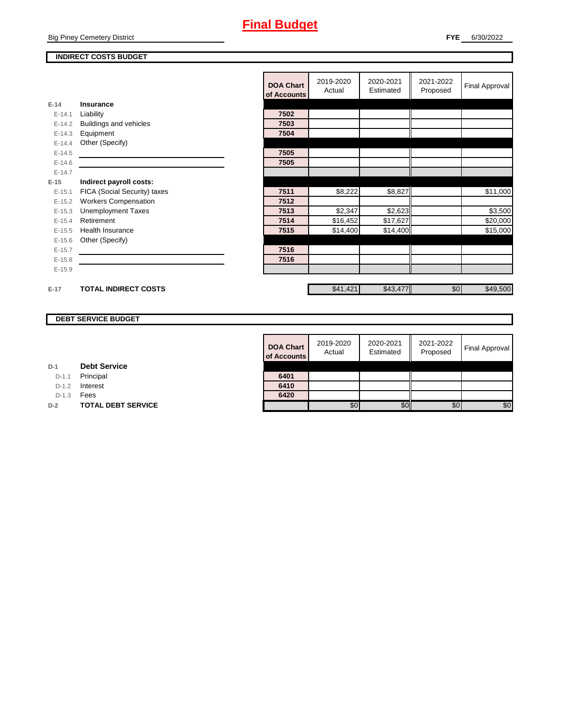**Big Piney Cemetery District** 

## **INDIRECT COSTS BUDGET**

|          |                              | <b>DOA Chart</b><br>of Accounts | 2019-2020<br>Actual | 2020-2021<br>Estimated | 2021-2022<br>Proposed | Final Approval |
|----------|------------------------------|---------------------------------|---------------------|------------------------|-----------------------|----------------|
| $E-14$   | Insurance                    |                                 |                     |                        |                       |                |
| $E-14.1$ | Liability                    | 7502                            |                     |                        |                       |                |
| $E-14.2$ | Buildings and vehicles       | 7503                            |                     |                        |                       |                |
| $E-14.3$ | Equipment                    | 7504                            |                     |                        |                       |                |
| $E-14.4$ | Other (Specify)              |                                 |                     |                        |                       |                |
| $E-14.5$ |                              | 7505                            |                     |                        |                       |                |
| $E-14.6$ |                              | 7505                            |                     |                        |                       |                |
| $E-14.7$ |                              |                                 |                     |                        |                       |                |
| $E-15$   | Indirect payroll costs:      |                                 |                     |                        |                       |                |
| $E-15.1$ | FICA (Social Security) taxes | 7511                            | \$8,222             | \$8,827                |                       | \$11,000       |
| $E-15.2$ | <b>Workers Compensation</b>  | 7512                            |                     |                        |                       |                |
| $E-15.3$ | <b>Unemployment Taxes</b>    | 7513                            | \$2,347             | \$2,623                |                       | \$3,500        |
| $E-15.4$ | Retirement                   | 7514                            | \$16,452            | \$17,627               |                       | \$20,000       |
| $E-15.5$ | Health Insurance             | 7515                            | \$14,400            | \$14,400               |                       | \$15,000       |
| $E-15.6$ | Other (Specify)              |                                 |                     |                        |                       |                |
| $E-15.7$ |                              | 7516                            |                     |                        |                       |                |
| $E-15.8$ |                              | 7516                            |                     |                        |                       |                |
| $E-15.9$ |                              |                                 |                     |                        |                       |                |
|          |                              |                                 |                     |                        |                       |                |
| $E-17$   | <b>TOTAL INDIRECT COSTS</b>  |                                 | \$41,421            | \$43,477               | \$0                   | \$49,500       |

## **DEBT SERVICE BUDGET**

| <b>DOA Chart</b><br>of Accounts | 2019-2020<br>Actual | 2020-2021<br>Estimated | 2021-2022<br>Proposed | <b>Final Approval</b> |
|---------------------------------|---------------------|------------------------|-----------------------|-----------------------|
| 6401                            |                     |                        |                       |                       |
| 6410                            |                     |                        |                       |                       |
| 6420                            |                     |                        |                       |                       |
|                                 | \$0                 |                        | \$0                   | \$0                   |

| <b>Debt Service</b><br>D-1 |  |
|----------------------------|--|
|----------------------------|--|

D-1.1 Principal

D-1.2 **Interest** 

D-1.3 **Fees** 

**D-2 TOTAL DEBT SERVICE**